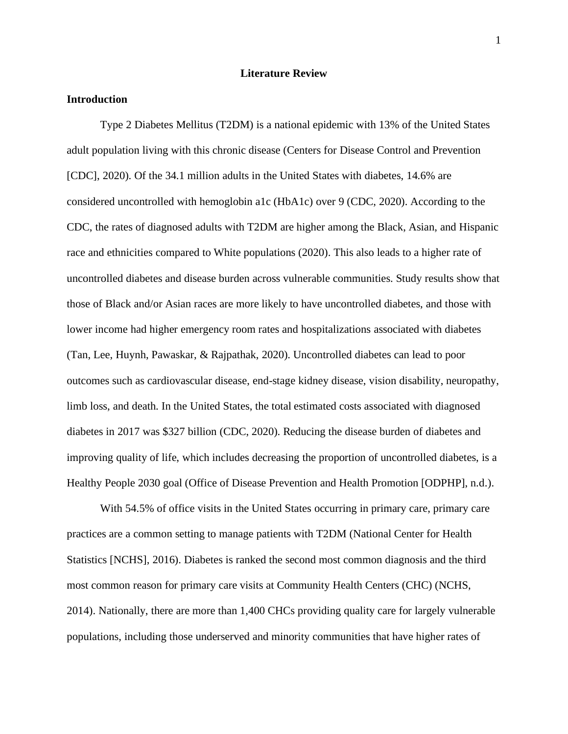## **Literature Review**

# **Introduction**

Type 2 Diabetes Mellitus (T2DM) is a national epidemic with 13% of the United States adult population living with this chronic disease (Centers for Disease Control and Prevention [CDC], 2020). Of the 34.1 million adults in the United States with diabetes, 14.6% are considered uncontrolled with hemoglobin a1c (HbA1c) over 9 (CDC, 2020). According to the CDC, the rates of diagnosed adults with T2DM are higher among the Black, Asian, and Hispanic race and ethnicities compared to White populations (2020). This also leads to a higher rate of uncontrolled diabetes and disease burden across vulnerable communities. Study results show that those of Black and/or Asian races are more likely to have uncontrolled diabetes, and those with lower income had higher emergency room rates and hospitalizations associated with diabetes (Tan, Lee, Huynh, Pawaskar, & Rajpathak, 2020). Uncontrolled diabetes can lead to poor outcomes such as cardiovascular disease, end-stage kidney disease, vision disability, neuropathy, limb loss, and death. In the United States, the total estimated costs associated with diagnosed diabetes in 2017 was \$327 billion (CDC, 2020). Reducing the disease burden of diabetes and improving quality of life, which includes decreasing the proportion of uncontrolled diabetes, is a Healthy People 2030 goal (Office of Disease Prevention and Health Promotion [ODPHP], n.d.).

With 54.5% of office visits in the United States occurring in primary care, primary care practices are a common setting to manage patients with T2DM (National Center for Health Statistics [NCHS], 2016). Diabetes is ranked the second most common diagnosis and the third most common reason for primary care visits at Community Health Centers (CHC) (NCHS, 2014). Nationally, there are more than 1,400 CHCs providing quality care for largely vulnerable populations, including those underserved and minority communities that have higher rates of

1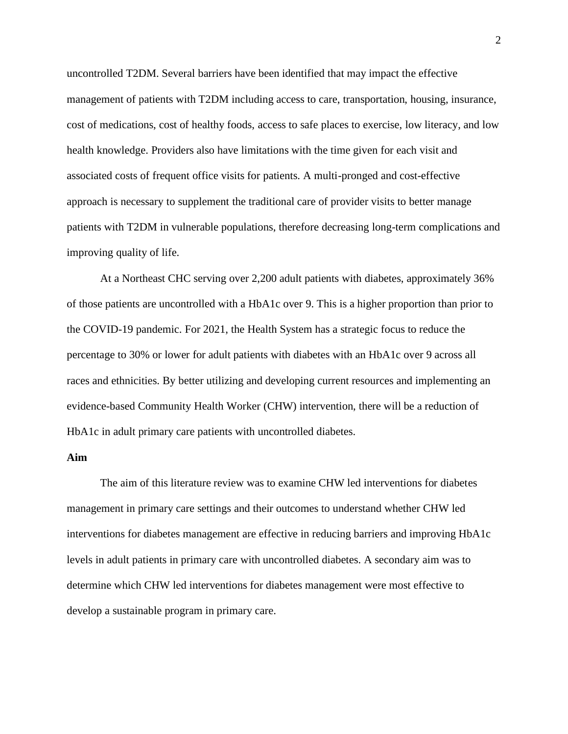uncontrolled T2DM. Several barriers have been identified that may impact the effective management of patients with T2DM including access to care, transportation, housing, insurance, cost of medications, cost of healthy foods, access to safe places to exercise, low literacy, and low health knowledge. Providers also have limitations with the time given for each visit and associated costs of frequent office visits for patients. A multi-pronged and cost-effective approach is necessary to supplement the traditional care of provider visits to better manage patients with T2DM in vulnerable populations, therefore decreasing long-term complications and improving quality of life.

At a Northeast CHC serving over 2,200 adult patients with diabetes, approximately 36% of those patients are uncontrolled with a HbA1c over 9. This is a higher proportion than prior to the COVID-19 pandemic. For 2021, the Health System has a strategic focus to reduce the percentage to 30% or lower for adult patients with diabetes with an HbA1c over 9 across all races and ethnicities. By better utilizing and developing current resources and implementing an evidence-based Community Health Worker (CHW) intervention, there will be a reduction of HbA1c in adult primary care patients with uncontrolled diabetes.

# **Aim**

The aim of this literature review was to examine CHW led interventions for diabetes management in primary care settings and their outcomes to understand whether CHW led interventions for diabetes management are effective in reducing barriers and improving HbA1c levels in adult patients in primary care with uncontrolled diabetes. A secondary aim was to determine which CHW led interventions for diabetes management were most effective to develop a sustainable program in primary care.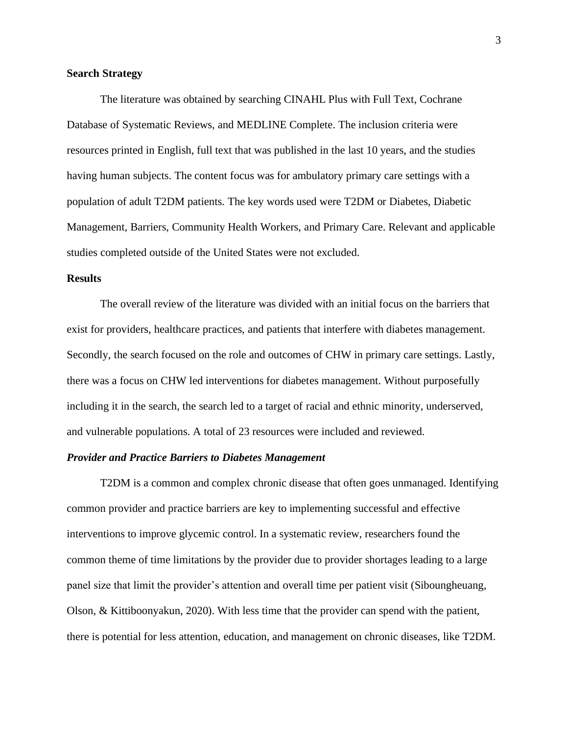### **Search Strategy**

The literature was obtained by searching CINAHL Plus with Full Text, Cochrane Database of Systematic Reviews, and MEDLINE Complete. The inclusion criteria were resources printed in English, full text that was published in the last 10 years, and the studies having human subjects. The content focus was for ambulatory primary care settings with a population of adult T2DM patients. The key words used were T2DM or Diabetes, Diabetic Management, Barriers, Community Health Workers, and Primary Care. Relevant and applicable studies completed outside of the United States were not excluded.

## **Results**

The overall review of the literature was divided with an initial focus on the barriers that exist for providers, healthcare practices, and patients that interfere with diabetes management. Secondly, the search focused on the role and outcomes of CHW in primary care settings. Lastly, there was a focus on CHW led interventions for diabetes management. Without purposefully including it in the search, the search led to a target of racial and ethnic minority, underserved, and vulnerable populations. A total of 23 resources were included and reviewed.

#### *Provider and Practice Barriers to Diabetes Management*

T2DM is a common and complex chronic disease that often goes unmanaged. Identifying common provider and practice barriers are key to implementing successful and effective interventions to improve glycemic control. In a systematic review, researchers found the common theme of time limitations by the provider due to provider shortages leading to a large panel size that limit the provider's attention and overall time per patient visit (Siboungheuang, Olson, & Kittiboonyakun, 2020). With less time that the provider can spend with the patient, there is potential for less attention, education, and management on chronic diseases, like T2DM.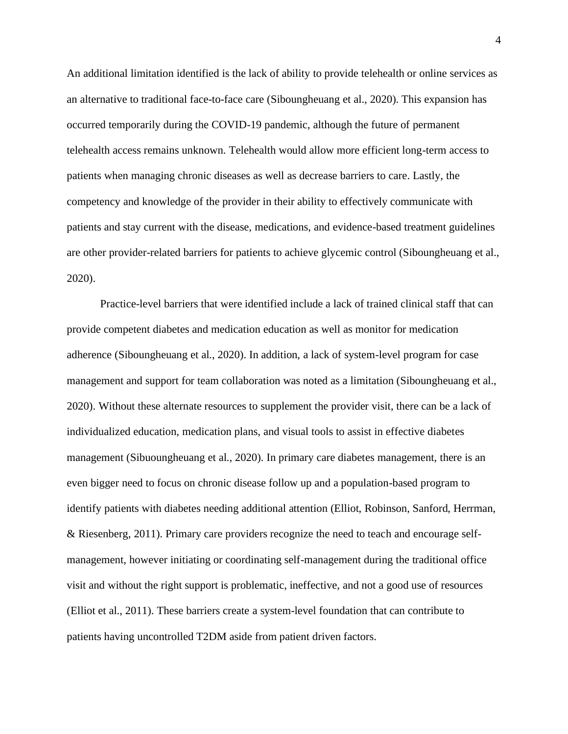An additional limitation identified is the lack of ability to provide telehealth or online services as an alternative to traditional face-to-face care (Siboungheuang et al., 2020). This expansion has occurred temporarily during the COVID-19 pandemic, although the future of permanent telehealth access remains unknown. Telehealth would allow more efficient long-term access to patients when managing chronic diseases as well as decrease barriers to care. Lastly, the competency and knowledge of the provider in their ability to effectively communicate with patients and stay current with the disease, medications, and evidence-based treatment guidelines are other provider-related barriers for patients to achieve glycemic control (Siboungheuang et al., 2020).

Practice-level barriers that were identified include a lack of trained clinical staff that can provide competent diabetes and medication education as well as monitor for medication adherence (Siboungheuang et al., 2020). In addition, a lack of system-level program for case management and support for team collaboration was noted as a limitation (Siboungheuang et al., 2020). Without these alternate resources to supplement the provider visit, there can be a lack of individualized education, medication plans, and visual tools to assist in effective diabetes management (Sibuoungheuang et al., 2020). In primary care diabetes management, there is an even bigger need to focus on chronic disease follow up and a population-based program to identify patients with diabetes needing additional attention (Elliot, Robinson, Sanford, Herrman, & Riesenberg, 2011). Primary care providers recognize the need to teach and encourage selfmanagement, however initiating or coordinating self-management during the traditional office visit and without the right support is problematic, ineffective, and not a good use of resources (Elliot et al., 2011). These barriers create a system-level foundation that can contribute to patients having uncontrolled T2DM aside from patient driven factors.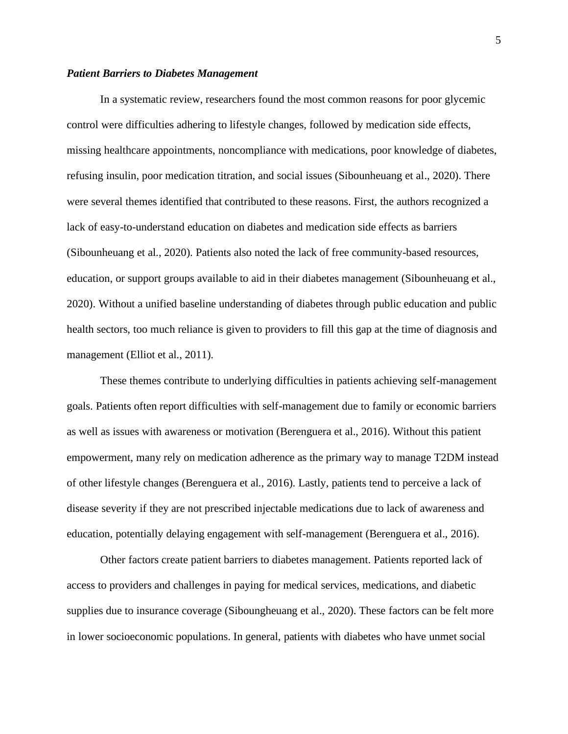### *Patient Barriers to Diabetes Management*

In a systematic review, researchers found the most common reasons for poor glycemic control were difficulties adhering to lifestyle changes, followed by medication side effects, missing healthcare appointments, noncompliance with medications, poor knowledge of diabetes, refusing insulin, poor medication titration, and social issues (Sibounheuang et al., 2020). There were several themes identified that contributed to these reasons. First, the authors recognized a lack of easy-to-understand education on diabetes and medication side effects as barriers (Sibounheuang et al., 2020). Patients also noted the lack of free community-based resources, education, or support groups available to aid in their diabetes management (Sibounheuang et al., 2020). Without a unified baseline understanding of diabetes through public education and public health sectors, too much reliance is given to providers to fill this gap at the time of diagnosis and management (Elliot et al., 2011).

These themes contribute to underlying difficulties in patients achieving self-management goals. Patients often report difficulties with self-management due to family or economic barriers as well as issues with awareness or motivation (Berenguera et al., 2016). Without this patient empowerment, many rely on medication adherence as the primary way to manage T2DM instead of other lifestyle changes (Berenguera et al., 2016). Lastly, patients tend to perceive a lack of disease severity if they are not prescribed injectable medications due to lack of awareness and education, potentially delaying engagement with self-management (Berenguera et al., 2016).

Other factors create patient barriers to diabetes management. Patients reported lack of access to providers and challenges in paying for medical services, medications, and diabetic supplies due to insurance coverage (Siboungheuang et al., 2020). These factors can be felt more in lower socioeconomic populations. In general, patients with diabetes who have unmet social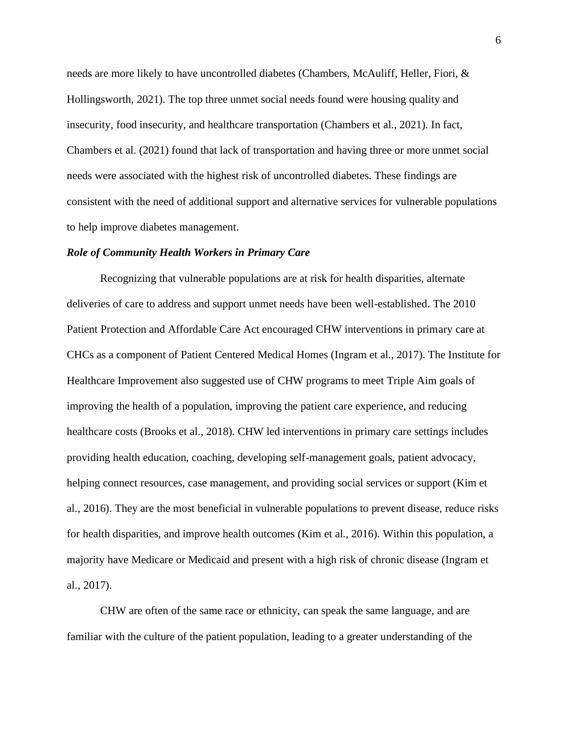needs are more likely to have uncontrolled diabetes (Chambers, McAuliff, Heller, Fiori, & Hollingsworth, 2021). The top three unmet social needs found were housing quality and insecurity, food insecurity, and healthcare transportation (Chambers et al., 2021). In fact, Chambers et al. (2021) found that lack of transportation and having three or more unmet social needs were associated with the highest risk of uncontrolled diabetes. These findings are consistent with the need of additional support and alternative services for vulnerable populations to help improve diabetes management.

## *Role of Community Health Workers in Primary Care*

Recognizing that vulnerable populations are at risk for health disparities, alternate deliveries of care to address and support unmet needs have been well-established. The 2010 Patient Protection and Affordable Care Act encouraged CHW interventions in primary care at CHCs as a component of Patient Centered Medical Homes (Ingram et al., 2017). The Institute for Healthcare Improvement also suggested use of CHW programs to meet Triple Aim goals of improving the health of a population, improving the patient care experience, and reducing healthcare costs (Brooks et al., 2018). CHW led interventions in primary care settings includes providing health education, coaching, developing self-management goals, patient advocacy, helping connect resources, case management, and providing social services or support (Kim et al., 2016). They are the most beneficial in vulnerable populations to prevent disease, reduce risks for health disparities, and improve health outcomes (Kim et al., 2016). Within this population, a majority have Medicare or Medicaid and present with a high risk of chronic disease (Ingram et al., 2017).

CHW are often of the same race or ethnicity, can speak the same language, and are familiar with the culture of the patient population, leading to a greater understanding of the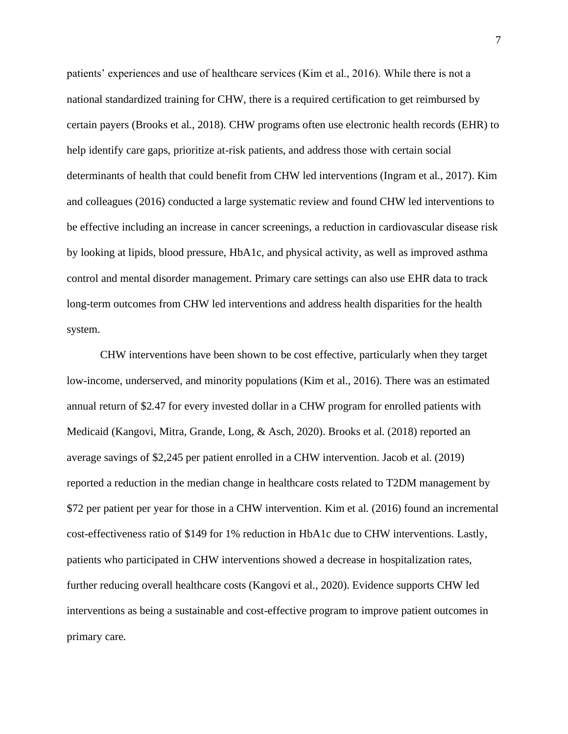patients' experiences and use of healthcare services (Kim et al., 2016). While there is not a national standardized training for CHW, there is a required certification to get reimbursed by certain payers (Brooks et al., 2018). CHW programs often use electronic health records (EHR) to help identify care gaps, prioritize at-risk patients, and address those with certain social determinants of health that could benefit from CHW led interventions (Ingram et al., 2017). Kim and colleagues (2016) conducted a large systematic review and found CHW led interventions to be effective including an increase in cancer screenings, a reduction in cardiovascular disease risk by looking at lipids, blood pressure, HbA1c, and physical activity, as well as improved asthma control and mental disorder management. Primary care settings can also use EHR data to track long-term outcomes from CHW led interventions and address health disparities for the health system.

CHW interventions have been shown to be cost effective, particularly when they target low-income, underserved, and minority populations (Kim et al., 2016). There was an estimated annual return of \$2.47 for every invested dollar in a CHW program for enrolled patients with Medicaid (Kangovi, Mitra, Grande, Long, & Asch, 2020). Brooks et al. (2018) reported an average savings of \$2,245 per patient enrolled in a CHW intervention. Jacob et al. (2019) reported a reduction in the median change in healthcare costs related to T2DM management by \$72 per patient per year for those in a CHW intervention. Kim et al. (2016) found an incremental cost-effectiveness ratio of \$149 for 1% reduction in HbA1c due to CHW interventions. Lastly, patients who participated in CHW interventions showed a decrease in hospitalization rates, further reducing overall healthcare costs (Kangovi et al., 2020). Evidence supports CHW led interventions as being a sustainable and cost-effective program to improve patient outcomes in primary care.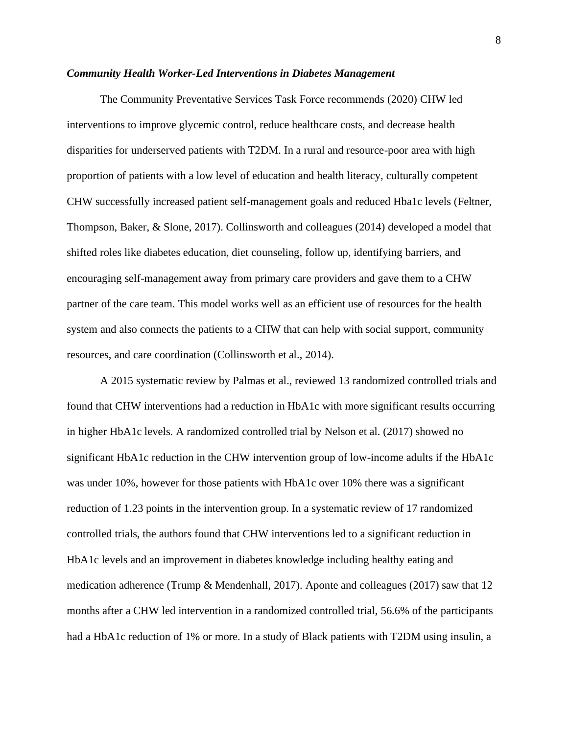#### *Community Health Worker-Led Interventions in Diabetes Management*

The Community Preventative Services Task Force recommends (2020) CHW led interventions to improve glycemic control, reduce healthcare costs, and decrease health disparities for underserved patients with T2DM. In a rural and resource-poor area with high proportion of patients with a low level of education and health literacy, culturally competent CHW successfully increased patient self-management goals and reduced Hba1c levels (Feltner, Thompson, Baker, & Slone, 2017). Collinsworth and colleagues (2014) developed a model that shifted roles like diabetes education, diet counseling, follow up, identifying barriers, and encouraging self-management away from primary care providers and gave them to a CHW partner of the care team. This model works well as an efficient use of resources for the health system and also connects the patients to a CHW that can help with social support, community resources, and care coordination (Collinsworth et al., 2014).

A 2015 systematic review by Palmas et al., reviewed 13 randomized controlled trials and found that CHW interventions had a reduction in HbA1c with more significant results occurring in higher HbA1c levels. A randomized controlled trial by Nelson et al. (2017) showed no significant HbA1c reduction in the CHW intervention group of low-income adults if the HbA1c was under 10%, however for those patients with HbA1c over 10% there was a significant reduction of 1.23 points in the intervention group. In a systematic review of 17 randomized controlled trials, the authors found that CHW interventions led to a significant reduction in HbA1c levels and an improvement in diabetes knowledge including healthy eating and medication adherence (Trump & Mendenhall, 2017). Aponte and colleagues (2017) saw that 12 months after a CHW led intervention in a randomized controlled trial, 56.6% of the participants had a HbA1c reduction of 1% or more. In a study of Black patients with T2DM using insulin, a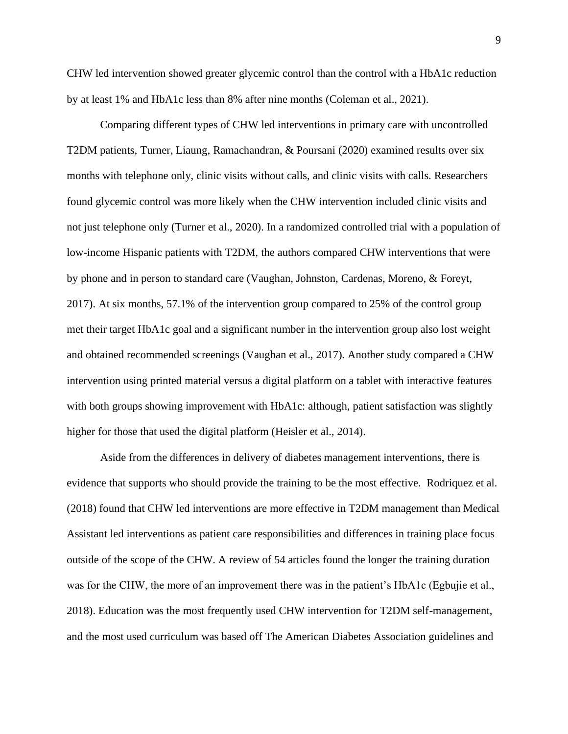CHW led intervention showed greater glycemic control than the control with a HbA1c reduction by at least 1% and HbA1c less than 8% after nine months (Coleman et al., 2021).

Comparing different types of CHW led interventions in primary care with uncontrolled T2DM patients, Turner, Liaung, Ramachandran, & Poursani (2020) examined results over six months with telephone only, clinic visits without calls, and clinic visits with calls. Researchers found glycemic control was more likely when the CHW intervention included clinic visits and not just telephone only (Turner et al., 2020). In a randomized controlled trial with a population of low-income Hispanic patients with T2DM, the authors compared CHW interventions that were by phone and in person to standard care (Vaughan, Johnston, Cardenas, Moreno, & Foreyt, 2017). At six months, 57.1% of the intervention group compared to 25% of the control group met their target HbA1c goal and a significant number in the intervention group also lost weight and obtained recommended screenings (Vaughan et al., 2017). Another study compared a CHW intervention using printed material versus a digital platform on a tablet with interactive features with both groups showing improvement with HbA1c: although, patient satisfaction was slightly higher for those that used the digital platform (Heisler et al., 2014).

Aside from the differences in delivery of diabetes management interventions, there is evidence that supports who should provide the training to be the most effective. Rodriquez et al. (2018) found that CHW led interventions are more effective in T2DM management than Medical Assistant led interventions as patient care responsibilities and differences in training place focus outside of the scope of the CHW. A review of 54 articles found the longer the training duration was for the CHW, the more of an improvement there was in the patient's HbA1c (Egbujie et al., 2018). Education was the most frequently used CHW intervention for T2DM self-management, and the most used curriculum was based off The American Diabetes Association guidelines and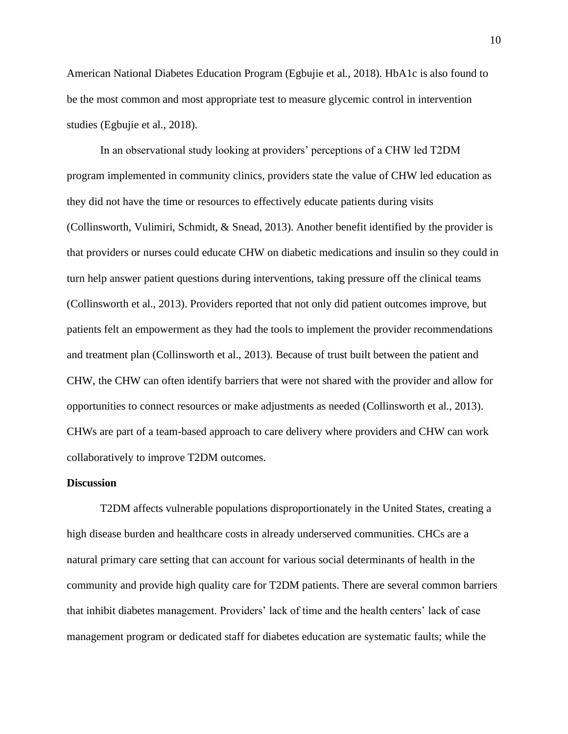American National Diabetes Education Program (Egbujie et al., 2018). HbA1c is also found to be the most common and most appropriate test to measure glycemic control in intervention studies (Egbujie et al., 2018).

In an observational study looking at providers' perceptions of a CHW led T2DM program implemented in community clinics, providers state the value of CHW led education as they did not have the time or resources to effectively educate patients during visits (Collinsworth, Vulimiri, Schmidt, & Snead, 2013). Another benefit identified by the provider is that providers or nurses could educate CHW on diabetic medications and insulin so they could in turn help answer patient questions during interventions, taking pressure off the clinical teams (Collinsworth et al., 2013). Providers reported that not only did patient outcomes improve, but patients felt an empowerment as they had the tools to implement the provider recommendations and treatment plan (Collinsworth et al., 2013). Because of trust built between the patient and CHW, the CHW can often identify barriers that were not shared with the provider and allow for opportunities to connect resources or make adjustments as needed (Collinsworth et al., 2013). CHWs are part of a team-based approach to care delivery where providers and CHW can work collaboratively to improve T2DM outcomes.

### **Discussion**

T2DM affects vulnerable populations disproportionately in the United States, creating a high disease burden and healthcare costs in already underserved communities. CHCs are a natural primary care setting that can account for various social determinants of health in the community and provide high quality care for T2DM patients. There are several common barriers that inhibit diabetes management. Providers' lack of time and the health centers' lack of case management program or dedicated staff for diabetes education are systematic faults; while the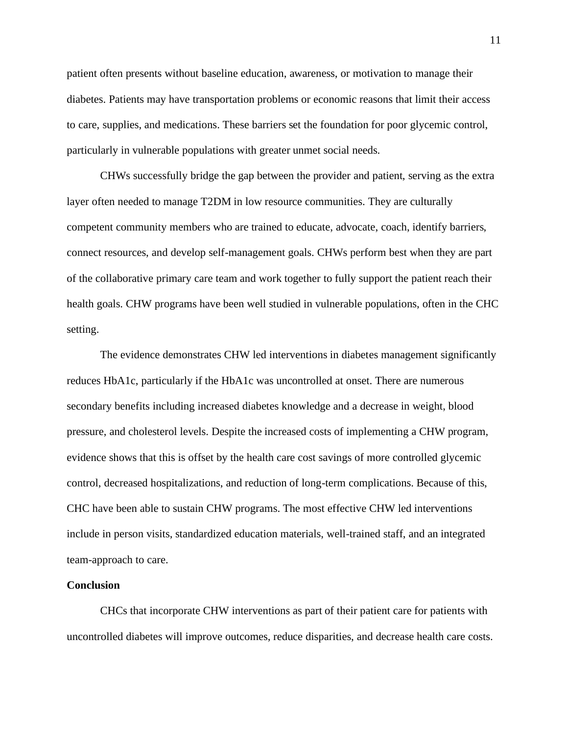patient often presents without baseline education, awareness, or motivation to manage their diabetes. Patients may have transportation problems or economic reasons that limit their access to care, supplies, and medications. These barriers set the foundation for poor glycemic control, particularly in vulnerable populations with greater unmet social needs.

CHWs successfully bridge the gap between the provider and patient, serving as the extra layer often needed to manage T2DM in low resource communities. They are culturally competent community members who are trained to educate, advocate, coach, identify barriers, connect resources, and develop self-management goals. CHWs perform best when they are part of the collaborative primary care team and work together to fully support the patient reach their health goals. CHW programs have been well studied in vulnerable populations, often in the CHC setting.

The evidence demonstrates CHW led interventions in diabetes management significantly reduces HbA1c, particularly if the HbA1c was uncontrolled at onset. There are numerous secondary benefits including increased diabetes knowledge and a decrease in weight, blood pressure, and cholesterol levels. Despite the increased costs of implementing a CHW program, evidence shows that this is offset by the health care cost savings of more controlled glycemic control, decreased hospitalizations, and reduction of long-term complications. Because of this, CHC have been able to sustain CHW programs. The most effective CHW led interventions include in person visits, standardized education materials, well-trained staff, and an integrated team-approach to care.

### **Conclusion**

CHCs that incorporate CHW interventions as part of their patient care for patients with uncontrolled diabetes will improve outcomes, reduce disparities, and decrease health care costs.